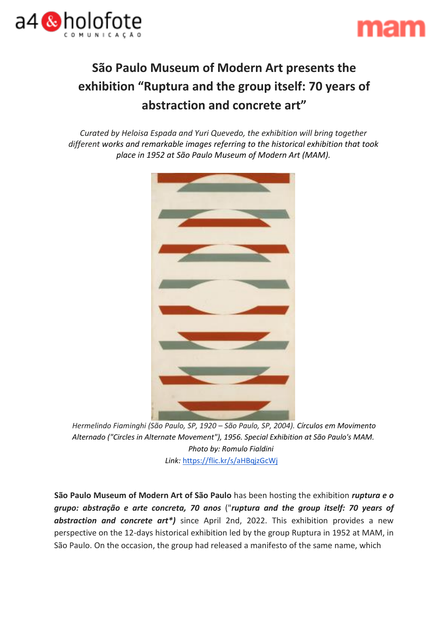



# **São Paulo Museum of Modern Art presents the exhibition "Ruptura and the group itself: 70 years of abstraction and concrete art"**

*Curated by Heloisa Espada and Yuri Quevedo, the exhibition will bring together different works and remarkable images referring to the historical exhibition that took place in 1952 at São Paulo Museum of Modern Art (MAM).*



*Hermelindo Fiaminghi (São Paulo, SP, 1920 – São Paulo, SP, 2004). Círculos em Movimento Alternado ("Circles in Alternate Movement"), 1956. Special Exhibition at São Paulo's MAM. Photo by: Romulo Fialdini Link:* https://flic.kr/s/aHBqjzGcWj

**São Paulo Museum of Modern Art of São Paulo** has been hosting the exhibition *ruptura e o grupo: abstração e arte concreta, 70 anos* ("*ruptura and the group itself: 70 years of abstraction and concrete art\*)* since April 2nd, 2022. This exhibition provides a new perspective on the 12-days historical exhibition led by the group Ruptura in 1952 at MAM, in São Paulo. On the occasion, the group had released a manifesto of the same name, which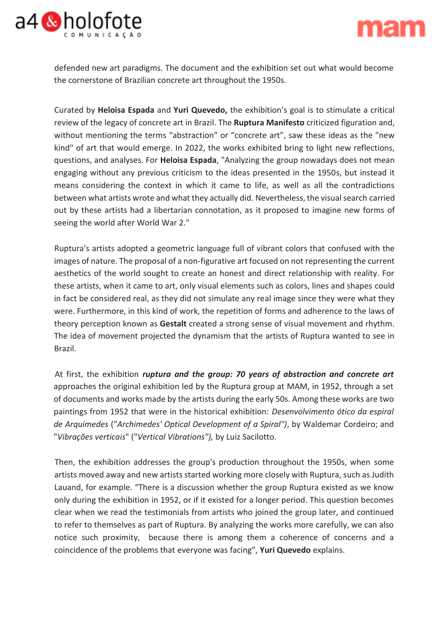



defended new art paradigms. The document and the exhibition set out what would become the cornerstone of Brazilian concrete art throughout the 1950s.

Curated by **Heloisa Espada** and **Yuri Quevedo,** the exhibition's goal is to stimulate a critical review of the legacy of concrete art in Brazil. The **Ruptura Manifesto** criticized figuration and, without mentioning the terms "abstraction" or "concrete art", saw these ideas as the "new kind" of art that would emerge. In 2022, the works exhibited bring to light new reflections, questions, and analyses. For **Heloisa Espada**, "Analyzing the group nowadays does not mean engaging without any previous criticism to the ideas presented in the 1950s, but instead it means considering the context in which it came to life, as well as all the contradictions between what artists wrote and what they actually did. Nevertheless, the visual search carried out by these artists had a libertarian connotation, as it proposed to imagine new forms of seeing the world after World War 2."

Ruptura's artists adopted a geometric language full of vibrant colors that confused with the images of nature. The proposal of a non-figurative art focused on not representing the current aesthetics of the world sought to create an honest and direct relationship with reality. For these artists, when it came to art, only visual elements such as colors, lines and shapes could in fact be considered real, as they did not simulate any real image since they were what they were. Furthermore, in this kind of work, the repetition of forms and adherence to the laws of theory perception known as **Gestalt** created a strong sense of visual movement and rhythm. The idea of movement projected the dynamism that the artists of Ruptura wanted to see in Brazil.

At first, the exhibition *ruptura and the group: 70 years of abstraction and concrete art*  approaches the original exhibition led by the Ruptura group at MAM, in 1952, through a set of documents and works made by the artists during the early 50s. Among these works are two paintings from 1952 that were in the historical exhibition: *Desenvolvimento ótico da espiral de Arquimedes* ("*Archimedes' Optical Development of a Spiral")*, by Waldemar Cordeiro; and "*Vibrações verticais*" ("*Vertical Vibrations"),* by Luiz Sacilotto.

Then, the exhibition addresses the group's production throughout the 1950s, when some artists moved away and new artists started working more closely with Ruptura, such as Judith Lauand, for example. "There is a discussion whether the group Ruptura existed as we know only during the exhibition in 1952, or if it existed for a longer period. This question becomes clear when we read the testimonials from artists who joined the group later, and continued to refer to themselves as part of Ruptura. By analyzing the works more carefully, we can also notice such proximity, because there is among them a coherence of concerns and a coincidence of the problems that everyone was facing", **Yuri Quevedo** explains.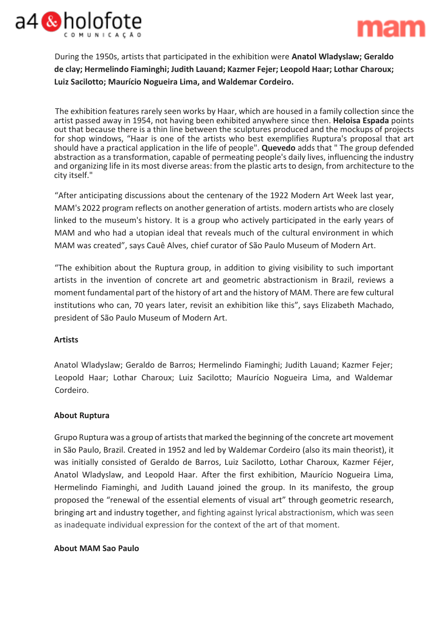



During the 1950s, artists that participated in the exhibition were **Anatol Wladyslaw; Geraldo de clay; Hermelindo Fiaminghi; Judith Lauand; Kazmer Fejer; Leopold Haar; Lothar Charoux; Luiz Sacilotto; Maurício Nogueira Lima, and Waldemar Cordeiro.**

The exhibition features rarely seen works by Haar, which are housed in a family collection since the artist passed away in 1954, not having been exhibited anywhere since then. **Heloisa Espada** points out that because there is a thin line between the sculptures produced and the mockups of projects for shop windows, "Haar is one of the artists who best exemplifies Ruptura's proposal that art should have a practical application in the life of people". **Quevedo** adds that " The group defended abstraction as a transformation, capable of permeating people's daily lives, influencing the industry and organizing life in its most diverse areas: from the plastic arts to design, from architecture to the city itself."

"After anticipating discussions about the centenary of the 1922 Modern Art Week last year, MAM's 2022 program reflects on another generation of artists. modern artists who are closely linked to the museum's history. It is a group who actively participated in the early years of MAM and who had a utopian ideal that reveals much of the cultural environment in which MAM was created", says Cauê Alves, chief curator of São Paulo Museum of Modern Art.

"The exhibition about the Ruptura group, in addition to giving visibility to such important artists in the invention of concrete art and geometric abstractionism in Brazil, reviews a moment fundamental part of the history of art and the history of MAM. There are few cultural institutions who can, 70 years later, revisit an exhibition like this", says Elizabeth Machado, president of São Paulo Museum of Modern Art.

### **Artists**

Anatol Wladyslaw; Geraldo de Barros; Hermelindo Fiaminghi; Judith Lauand; Kazmer Fejer; Leopold Haar; Lothar Charoux; Luiz Sacilotto; Maurício Nogueira Lima, and Waldemar Cordeiro.

### **About Ruptura**

Grupo Ruptura was a group of artists that marked the beginning of the concrete art movement in São Paulo, Brazil. Created in 1952 and led by Waldemar Cordeiro (also its main theorist), it was initially consisted of Geraldo de Barros, Luiz Sacilotto, Lothar Charoux, Kazmer Féjer, Anatol Wladyslaw, and Leopold Haar. After the first exhibition, Maurício Nogueira Lima, Hermelindo Fiaminghi, and Judith Lauand joined the group. In its manifesto, the group proposed the "renewal of the essential elements of visual art" through geometric research, bringing art and industry together, and fighting against lyrical abstractionism, which was seen as inadequate individual expression for the context of the art of that moment.

### **About MAM Sao Paulo**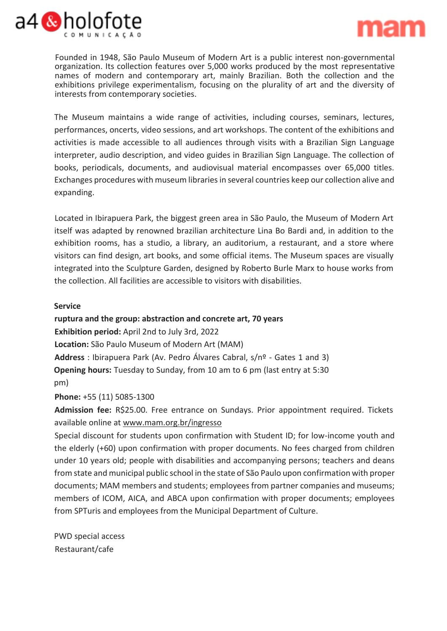



Founded in 1948, São Paulo Museum of Modern Art is a public interest non-governmental organization. Its collection features over 5,000 works produced by the most representative names of modern and contemporary art, mainly Brazilian. Both the collection and the exhibitions privilege experimentalism, focusing on the plurality of art and the diversity of interests from contemporary societies.

The Museum maintains a wide range of activities, including courses, seminars, lectures, performances, oncerts, video sessions, and art workshops. The content of the exhibitions and activities is made accessible to all audiences through visits with a Brazilian Sign Language interpreter, audio description, and video guides in Brazilian Sign Language. The collection of books, periodicals, documents, and audiovisual material encompasses over 65,000 titles. Exchanges procedures with museum libraries in several countries keep our collection alive and expanding.

Located in Ibirapuera Park, the biggest green area in São Paulo, the Museum of Modern Art itself was adapted by renowned brazilian architecture Lina Bo Bardi and, in addition to the exhibition rooms, has a studio, a library, an auditorium, a restaurant, and a store where visitors can find design, art books, and some official items. The Museum spaces are visually integrated into the Sculpture Garden, designed by Roberto Burle Marx to house works from the collection. All facilities are accessible to visitors with disabilities.

#### **Service**

**ruptura and the group: abstraction and concrete art, 70 years Exhibition period:** April 2nd to July 3rd, 2022 **Location:** São Paulo Museum of Modern Art (MAM) **Address** : Ibirapuera Park (Av. Pedro Álvares Cabral, s/nº - Gates 1 and 3) **Opening hours:** Tuesday to Sunday, from 10 am to 6 pm (last entry at 5:30 pm)

**Phone:** +55 (11) 5085-1300

**Admission fee:** R\$25.00. Free entrance on Sundays. Prior appointment required. Tickets available online at www.mam.org.br/ingresso

Special discount for students upon confirmation with Student ID; for low-income youth and the elderly (+60) upon confirmation with proper documents. No fees charged from children under 10 years old; people with disabilities and accompanying persons; teachers and deans from state and municipal public school in the state of São Paulo upon confirmation with proper documents; MAM members and students; employees from partner companies and museums; members of ICOM, AICA, and ABCA upon confirmation with proper documents; employees from SPTuris and employees from the Municipal Department of Culture.

PWD special access Restaurant/cafe